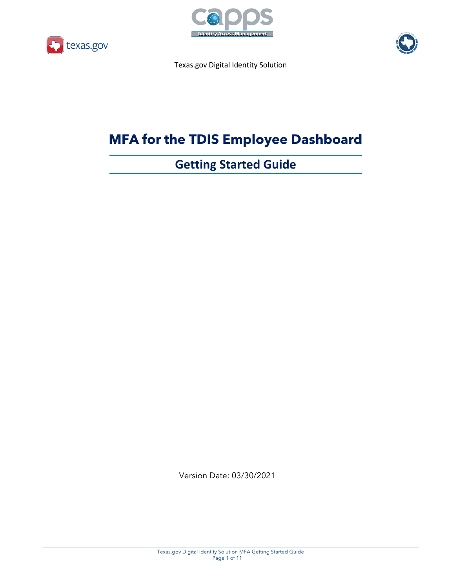





Texas.gov Digital Identity Solution

# **MFA for the TDIS Employee Dashboard**

**Getting Started Guide**

Version Date: 03/30/2021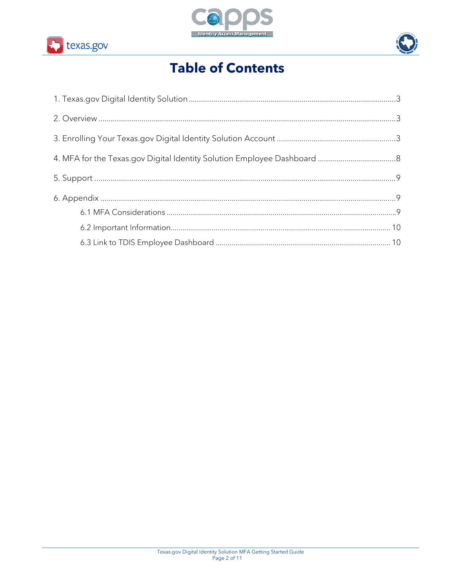





## **Table of Contents**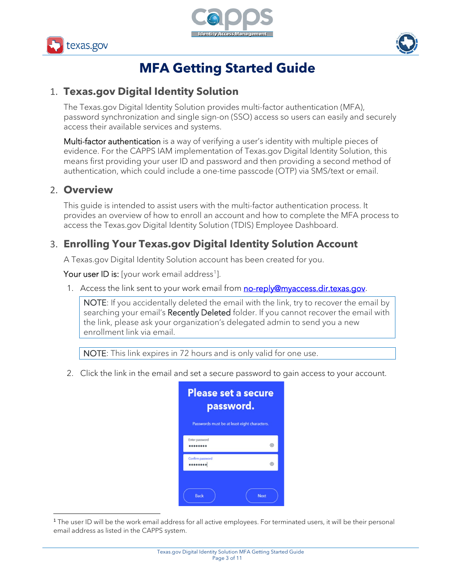





## **MFA Getting Started Guide**

### <span id="page-2-0"></span>1. **Texas.gov Digital Identity Solution**

The Texas.gov Digital Identity Solution provides multi-factor authentication (MFA), password synchronization and single sign-on (SSO) access so users can easily and securely access their available services and systems.

Multi-factor authentication is a way of verifying a user's identity with multiple pieces of evidence. For the CAPPS IAM implementation of Texas.gov Digital Identity Solution, this means first providing your user ID and password and then providing a second method of authentication, which could include a one-time passcode (OTP) via SMS/text or email.

#### <span id="page-2-1"></span>2. **Overview**

This guide is intended to assist users with the multi-factor authentication process. It provides an overview of how to enroll an account and how to complete the MFA process to access the Texas.gov Digital Identity Solution (TDIS) Employee Dashboard.

#### <span id="page-2-2"></span>3. **Enrolling Your Texas.gov Digital Identity Solution Account**

A Texas.gov Digital Identity Solution account has been created for you.

Your user ID is: [your work email address<sup>[1](#page-2-3)</sup>].

1. Access the link sent to your work email from no-reply@myaccess.dir.texas.gov.

NOTE: If you accidentally deleted the email with the link, try to recover the email by searching your email's Recently Deleted folder. If you cannot recover the email with the link, please ask your organization's delegated admin to send you a new enrollment link via email.

NOTE: This link expires in 72 hours and is only valid for one use.

2. Click the link in the email and set a secure password to gain access to your account.

|                      | <b>Please set a secure</b><br>password.           |
|----------------------|---------------------------------------------------|
| Enter password       | Passwords must be at least eight characters.<br>⊚ |
| Confirm password<br> | ⓒ                                                 |

<span id="page-2-3"></span><sup>&</sup>lt;sup>1</sup> The user ID will be the work email address for all active employees. For terminated users, it will be their personal email address as listed in the CAPPS system.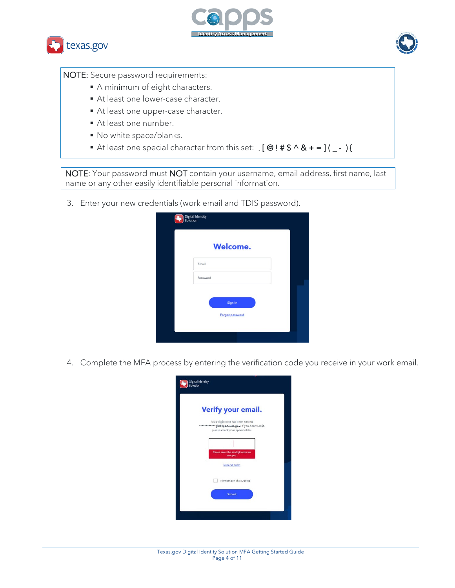



 $\overline{a}$ 



NOTE: Secure password requirements:

- A minimum of eight characters.
- At least one lower-case character.
- At least one upper-case character.
- At least one number.
- No white space/blanks.
- At least one special character from this set: .  $[② ! # $^{\wedge} 8 + ](_{-} )$

NOTE: Your password must NOT contain your username, email address, first name, last name or any other easily identifiable personal information.

3. Enter your new credentials (work email and TDIS password).

| Email                      |  |
|----------------------------|--|
| Password                   |  |
| Sign In<br>Forgot password |  |

4. Complete the MFA process by entering the verification code you receive in your work email.

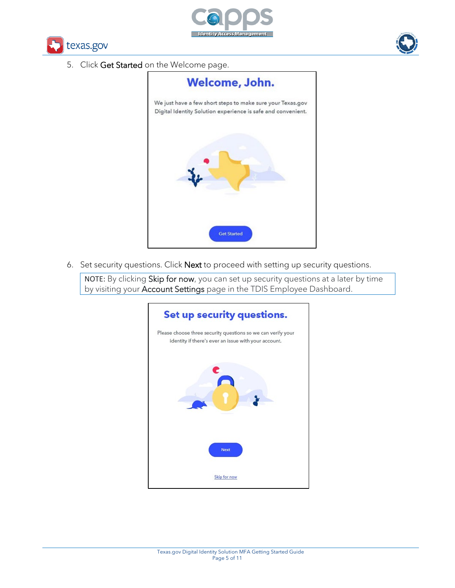





5. Click Get Started on the Welcome page.



6. Set security questions. Click Next to proceed with setting up security questions.

NOTE: By clicking Skip for now, you can set up security questions at a later by time by visiting your Account Settings page in the TDIS Employee Dashboard.

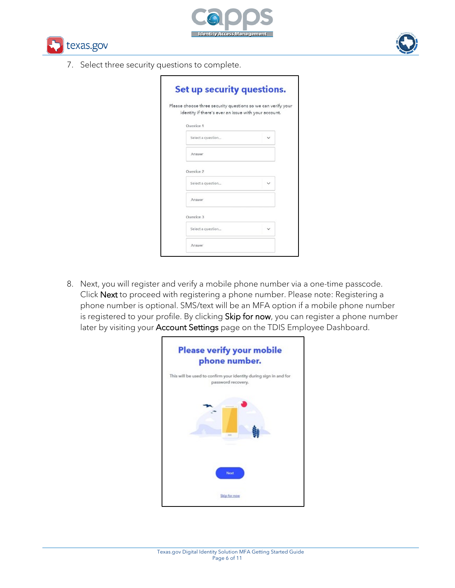





7. Select three security questions to complete.

|                   | identity if there's ever an issue with your account. |
|-------------------|------------------------------------------------------|
| Ouestion 1        |                                                      |
| Select a question | $\checkmark$                                         |
| Answer            |                                                      |
| Ouestion 2        |                                                      |
| Select a question | $\checkmark$                                         |
| Answer            |                                                      |
| Ouestion 3        |                                                      |
| Select a question |                                                      |

8. Next, you will register and verify a mobile phone number via a one-time passcode. Click Next to proceed with registering a phone number. Please note: Registering a phone number is optional. SMS/text will be an MFA option if a mobile phone number is registered to your profile. By clicking Skip for now, you can register a phone number later by visiting your Account Settings page on the TDIS Employee Dashboard.

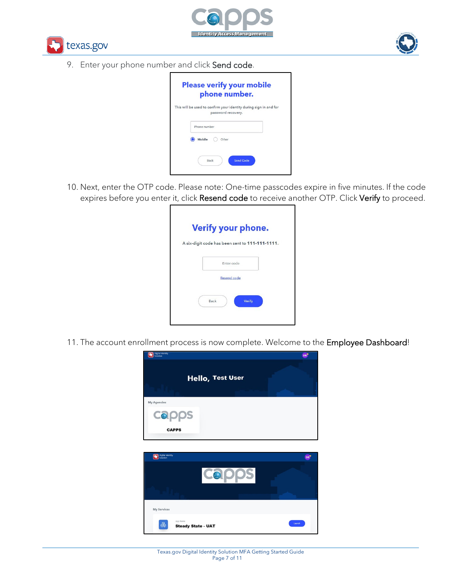





9. Enter your phone number and click Send code.

| <b>Please verify your mobile</b><br>phone number.                                       |
|-----------------------------------------------------------------------------------------|
| This will be used to confirm your identity during sign in and for<br>password recovery. |
| Phone number                                                                            |
| <b>Mobile</b><br>Other                                                                  |
| Send Code<br>Back                                                                       |

10. Next, enter the OTP code. Please note: One-time passcodes expire in five minutes. If the code expires before you enter it, click Resend code to receive another OTP. Click Verify to proceed.

| A six-digit code has been sent to 111-111-1111. |                    |  |
|-------------------------------------------------|--------------------|--|
|                                                 | Enter code         |  |
|                                                 | <b>Resend code</b> |  |
|                                                 |                    |  |

11. The account enrollment process is now complete. Welcome to the Employee Dashboard!

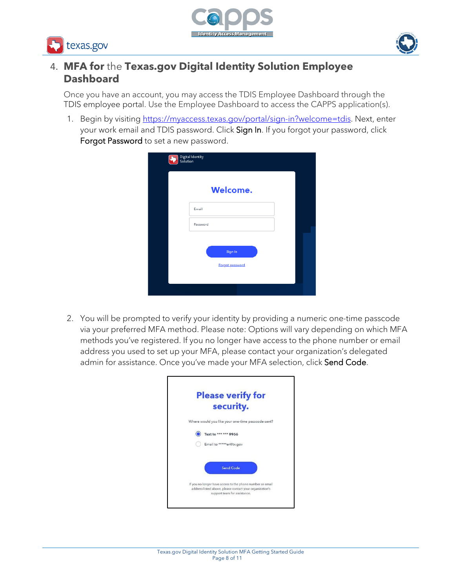





### <span id="page-7-0"></span>4. **MFA for** the **Texas.gov Digital Identity Solution Employee Dashboard**

Once you have an account, you may access the TDIS Employee Dashboard through the TDIS [employee portal.](https://myaccess.texas.gov/portal/sign-in?welcome=tdis) Use the Employee Dashboard to access the CAPPS application(s).

1. Begin by visiting [https://myaccess.texas.gov/portal/sign-in?welcome=tdis.](https://myaccess.texas.gov/portal/sign-in?welcome=tdis) Next, enter your work email and TDIS password. Click Sign In. If you forgot your password, click Forgot Password to set a new password.

| Digital Identity<br>Solution |  |
|------------------------------|--|
| <b>Welcome.</b>              |  |
| Email                        |  |
| Password                     |  |
| Sign In<br>Forgot password   |  |
|                              |  |

2. You will be prompted to verify your identity by providing a numeric one-time passcode via your preferred MFA method. Please note: Options will vary depending on which MFA methods you've registered. If you no longer have access to the phone number or email address you used to set up your MFA, please contact your organization's delegated admin for assistance. Once you've made your MFA selection, click Send Code.

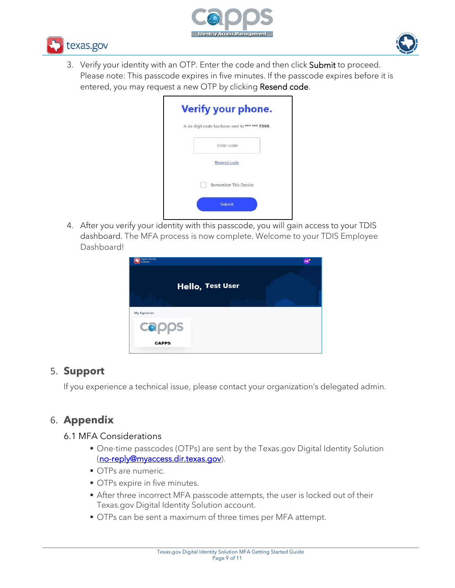





3. Verify your identity with an OTP. Enter the code and then click Submit to proceed. Please note: This passcode expires in five minutes. If the passcode expires before it is entered, you may request a new OTP by clicking Resend code.

|  |                    | A six-digit code has been sent to *** *** 7308. |  |
|--|--------------------|-------------------------------------------------|--|
|  | Enter code         |                                                 |  |
|  | <b>Resend code</b> |                                                 |  |
|  |                    | Remember This Device                            |  |
|  | <b>Submit</b>      |                                                 |  |

<span id="page-8-0"></span>4. After you verify your identity with this passcode, you will gain access to your TDIS dashboard. The MFA process is now complete. Welcome to your TDIS Employee Dashboard!



#### 5. **Support**

<span id="page-8-1"></span>If you experience a technical issue, please contact your organization's delegated admin.

### 6. **Appendix**

#### <span id="page-8-2"></span>6.1 MFA Considerations

- One-time passcodes (OTPs) are sent by the Texas.gov Digital Identity Solution (no-reply@myaccess.dir.texas.gov).
- OTPs are numeric.
- OTPs expire in five minutes.
- After three incorrect MFA passcode attempts, the user is locked out of their Texas.gov Digital Identity Solution account.
- OTPs can be sent a maximum of three times per MFA attempt.